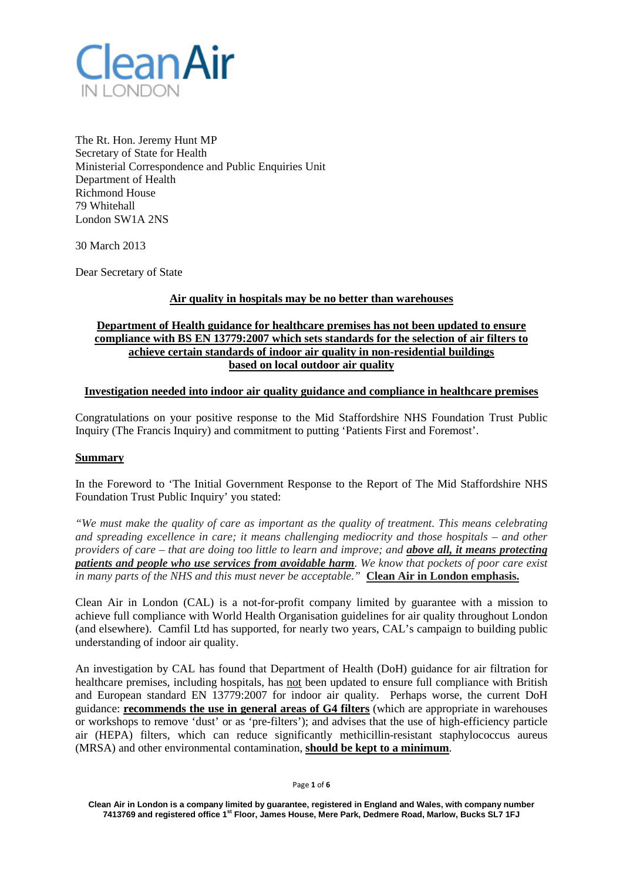

The Rt. Hon. Jeremy Hunt MP Secretary of State for Health Ministerial Correspondence and Public Enquiries Unit Department of Health Richmond House 79 Whitehall London SW1A 2NS

30 March 2013

Dear Secretary of State

## **Air quality in hospitals may be no better than warehouses**

# **Department of Health guidance for healthcare premises has not been updated to ensure compliance with BS EN 13779:2007 which sets standards for the selection of air filters to achieve certain standards of indoor air quality in non-residential buildings based on local outdoor air quality**

#### **Investigation needed into indoor air quality guidance and compliance in healthcare premises**

Congratulations on your positive response to the Mid Staffordshire NHS Foundation Trust Public Inquiry (The Francis Inquiry) and commitment to putting 'Patients First and Foremost'.

#### **Summary**

In the Foreword to 'The Initial Government Response to the Report of The Mid Staffordshire NHS Foundation Trust Public Inquiry' you stated:

*"We must make the quality of care as important as the quality of treatment. This means celebrating and spreading excellence in care; it means challenging mediocrity and those hospitals – and other providers of care – that are doing too little to learn and improve; and above all, it means protecting patients and people who use services from avoidable harm. We know that pockets of poor care exist in many parts of the NHS and this must never be acceptable."* **Clean Air in London emphasis.**

Clean Air in London (CAL) is a not-for-profit company limited by guarantee with a mission to achieve full compliance with World Health Organisation guidelines for air quality throughout London (and elsewhere). Camfil Ltd has supported, for nearly two years, CAL's campaign to building public understanding of indoor air quality.

An investigation by CAL has found that Department of Health (DoH) guidance for air filtration for healthcare premises, including hospitals, has not been updated to ensure full compliance with British and European standard EN 13779:2007 for indoor air quality. Perhaps worse, the current DoH guidance: **recommends the use in general areas of G4 filters** (which are appropriate in warehouses or workshops to remove 'dust' or as 'pre-filters'); and advises that the use of high-efficiency particle air (HEPA) filters, which can reduce significantly methicillin-resistant staphylococcus aureus (MRSA) and other environmental contamination, **should be kept to a minimum**.

Page **1** of **6**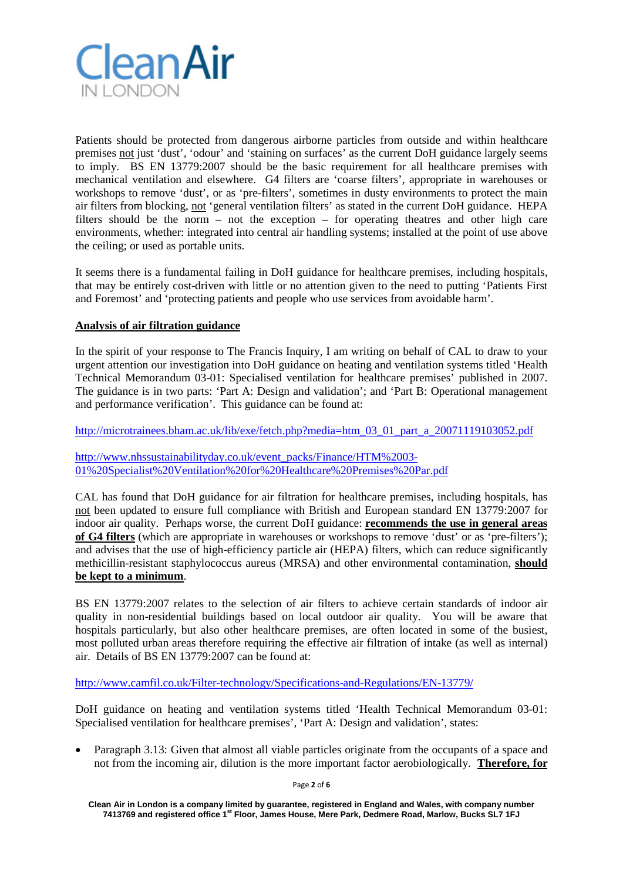

Patients should be protected from dangerous airborne particles from outside and within healthcare premises not just 'dust', 'odour' and 'staining on surfaces' as the current DoH guidance largely seems to imply. BS EN 13779:2007 should be the basic requirement for all healthcare premises with mechanical ventilation and elsewhere. G4 filters are 'coarse filters', appropriate in warehouses or workshops to remove 'dust', or as 'pre-filters', sometimes in dusty environments to protect the main air filters from blocking, not 'general ventilation filters' as stated in the current DoH guidance. HEPA filters should be the norm – not the exception – for operating theatres and other high care environments, whether: integrated into central air handling systems; installed at the point of use above the ceiling; or used as portable units.

It seems there is a fundamental failing in DoH guidance for healthcare premises, including hospitals, that may be entirely cost-driven with little or no attention given to the need to putting 'Patients First and Foremost' and 'protecting patients and people who use services from avoidable harm'.

## **Analysis of air filtration guidance**

In the spirit of your response to The Francis Inquiry, I am writing on behalf of CAL to draw to your urgent attention our investigation into DoH guidance on heating and ventilation systems titled 'Health Technical Memorandum 03-01: Specialised ventilation for healthcare premises' published in 2007. The guidance is in two parts: 'Part A: Design and validation'; and 'Part B: Operational management and performance verification'. This guidance can be found at:

[http://microtrainees.bham.ac.uk/lib/exe/fetch.php?media=htm\\_03\\_01\\_part\\_a\\_20071119103052.pdf](http://microtrainees.bham.ac.uk/lib/exe/fetch.php?media=htm_03_01_part_a_20071119103052.pdf)

[http://www.nhssustainabilityday.co.uk/event\\_packs/Finance/HTM%2003-](http://www.nhssustainabilityday.co.uk/event_packs/Finance/HTM%2003-01%20Specialist%20Ventilation%20for%20Healthcare%20Premises%20Par.pdf) [01%20Specialist%20Ventilation%20for%20Healthcare%20Premises%20Par.pdf](http://www.nhssustainabilityday.co.uk/event_packs/Finance/HTM%2003-01%20Specialist%20Ventilation%20for%20Healthcare%20Premises%20Par.pdf)

CAL has found that DoH guidance for air filtration for healthcare premises, including hospitals, has not been updated to ensure full compliance with British and European standard EN 13779:2007 for indoor air quality. Perhaps worse, the current DoH guidance: **recommends the use in general areas of G4 filters** (which are appropriate in warehouses or workshops to remove 'dust' or as 'pre-filters'); and advises that the use of high-efficiency particle air (HEPA) filters, which can reduce significantly methicillin-resistant staphylococcus aureus (MRSA) and other environmental contamination, **should be kept to a minimum**.

BS EN 13779:2007 relates to the selection of air filters to achieve certain standards of indoor air quality in non-residential buildings based on local outdoor air quality. You will be aware that hospitals particularly, but also other healthcare premises, are often located in some of the busiest, most polluted urban areas therefore requiring the effective air filtration of intake (as well as internal) air. Details of BS EN 13779:2007 can be found at:

<http://www.camfil.co.uk/Filter-technology/Specifications-and-Regulations/EN-13779/>

DoH guidance on heating and ventilation systems titled 'Health Technical Memorandum 03-01: Specialised ventilation for healthcare premises', 'Part A: Design and validation', states:

• Paragraph 3.13: Given that almost all viable particles originate from the occupants of a space and not from the incoming air, dilution is the more important factor aerobiologically. **Therefore, for** 

Page **2** of **6**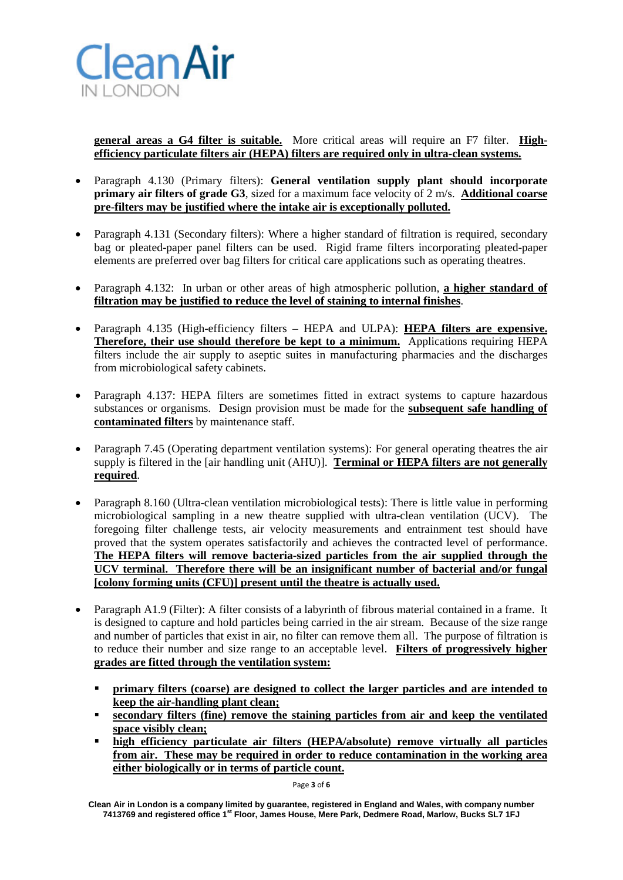

**general areas a G4 filter is suitable.** More critical areas will require an F7 filter. **Highefficiency particulate filters air (HEPA) filters are required only in ultra-clean systems.**

- Paragraph 4.130 (Primary filters): **General ventilation supply plant should incorporate primary air filters of grade G3**, sized for a maximum face velocity of 2 m/s. **Additional coarse pre-filters may be justified where the intake air is exceptionally polluted.**
- Paragraph 4.131 (Secondary filters): Where a higher standard of filtration is required, secondary bag or pleated-paper panel filters can be used. Rigid frame filters incorporating pleated-paper elements are preferred over bag filters for critical care applications such as operating theatres.
- Paragraph 4.132: In urban or other areas of high atmospheric pollution, **a higher standard of filtration may be justified to reduce the level of staining to internal finishes**.
- Paragraph 4.135 (High-efficiency filters HEPA and ULPA): **HEPA filters are expensive. Therefore, their use should therefore be kept to a minimum.** Applications requiring HEPA filters include the air supply to aseptic suites in manufacturing pharmacies and the discharges from microbiological safety cabinets.
- Paragraph 4.137: HEPA filters are sometimes fitted in extract systems to capture hazardous substances or organisms. Design provision must be made for the **subsequent safe handling of contaminated filters** by maintenance staff.
- Paragraph 7.45 (Operating department ventilation systems): For general operating theatres the air supply is filtered in the [air handling unit (AHU)]. **Terminal or HEPA filters are not generally required**.
- Paragraph 8.160 (Ultra-clean ventilation microbiological tests): There is little value in performing microbiological sampling in a new theatre supplied with ultra-clean ventilation (UCV). The foregoing filter challenge tests, air velocity measurements and entrainment test should have proved that the system operates satisfactorily and achieves the contracted level of performance. **The HEPA filters will remove bacteria-sized particles from the air supplied through the UCV terminal. Therefore there will be an insignificant number of bacterial and/or fungal [colony forming units (CFU)] present until the theatre is actually used.**
- Paragraph A1.9 (Filter): A filter consists of a labyrinth of fibrous material contained in a frame. It is designed to capture and hold particles being carried in the air stream. Because of the size range and number of particles that exist in air, no filter can remove them all. The purpose of filtration is to reduce their number and size range to an acceptable level. **Filters of progressively higher grades are fitted through the ventilation system:**
	- **primary filters (coarse) are designed to collect the larger particles and are intended to keep the air-handling plant clean;**
	- **secondary filters (fine) remove the staining particles from air and keep the ventilated space visibly clean;**
	- **high efficiency particulate air filters (HEPA/absolute) remove virtually all particles from air. These may be required in order to reduce contamination in the working area either biologically or in terms of particle count.**

Page **3** of **6**

**Clean Air in London is a company limited by guarantee, registered in England and Wales, with company number 7413769 and registered office 1st Floor, James House, Mere Park, Dedmere Road, Marlow, Bucks SL7 1FJ**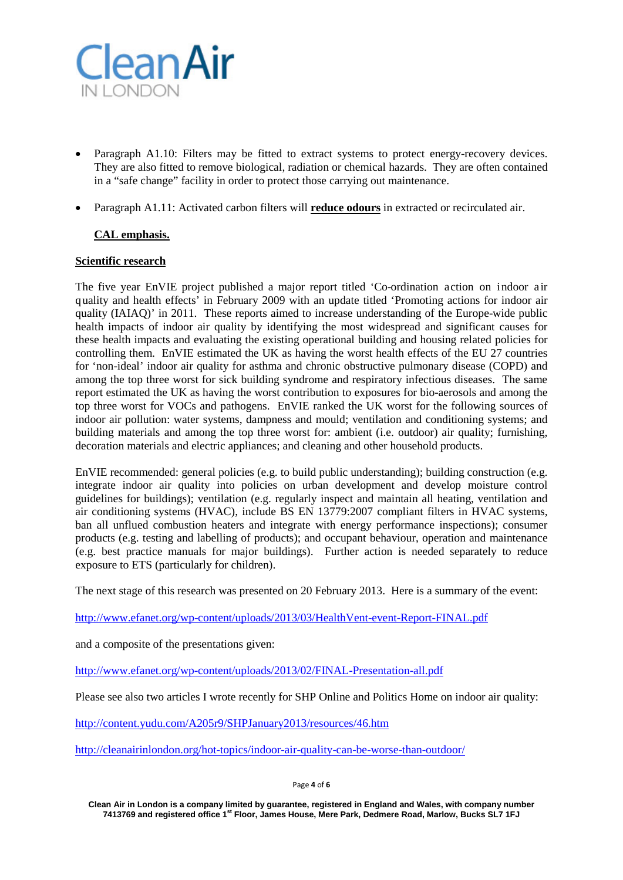

- Paragraph A1.10: Filters may be fitted to extract systems to protect energy-recovery devices. They are also fitted to remove biological, radiation or chemical hazards. They are often contained in a "safe change" facility in order to protect those carrying out maintenance.
- Paragraph A1.11: Activated carbon filters will **reduce odours** in extracted or recirculated air.

# **CAL emphasis.**

## **Scientific research**

The five year EnVIE project published a major report titled 'Co-ordination action on indoor air quality and health effects' in February 2009 with an update titled 'Promoting actions for indoor air quality (IAIAQ)' in 2011. These reports aimed to increase understanding of the Europe-wide public health impacts of indoor air quality by identifying the most widespread and significant causes for these health impacts and evaluating the existing operational building and housing related policies for controlling them. EnVIE estimated the UK as having the worst health effects of the EU 27 countries for 'non-ideal' indoor air quality for asthma and chronic obstructive pulmonary disease (COPD) and among the top three worst for sick building syndrome and respiratory infectious diseases. The same report estimated the UK as having the worst contribution to exposures for bio-aerosols and among the top three worst for VOCs and pathogens. EnVIE ranked the UK worst for the following sources of indoor air pollution: water systems, dampness and mould; ventilation and conditioning systems; and building materials and among the top three worst for: ambient (i.e. outdoor) air quality; furnishing, decoration materials and electric appliances; and cleaning and other household products.

EnVIE recommended: general policies (e.g. to build public understanding); building construction (e.g. integrate indoor air quality into policies on urban development and develop moisture control guidelines for buildings); ventilation (e.g. regularly inspect and maintain all heating, ventilation and air conditioning systems (HVAC), include BS EN 13779:2007 compliant filters in HVAC systems, ban all unflued combustion heaters and integrate with energy performance inspections); consumer products (e.g. testing and labelling of products); and occupant behaviour, operation and maintenance (e.g. best practice manuals for major buildings). Further action is needed separately to reduce exposure to ETS (particularly for children).

The next stage of this research was presented on 20 February 2013. Here is a summary of the event:

<http://www.efanet.org/wp-content/uploads/2013/03/HealthVent-event-Report-FINAL.pdf>

and a composite of the presentations given:

<http://www.efanet.org/wp-content/uploads/2013/02/FINAL-Presentation-all.pdf>

Please see also two articles I wrote recently for SHP Online and Politics Home on indoor air quality:

<http://content.yudu.com/A205r9/SHPJanuary2013/resources/46.htm>

<http://cleanairinlondon.org/hot-topics/indoor-air-quality-can-be-worse-than-outdoor/>

Page **4** of **6**

**Clean Air in London is a company limited by guarantee, registered in England and Wales, with company number 7413769 and registered office 1st Floor, James House, Mere Park, Dedmere Road, Marlow, Bucks SL7 1FJ**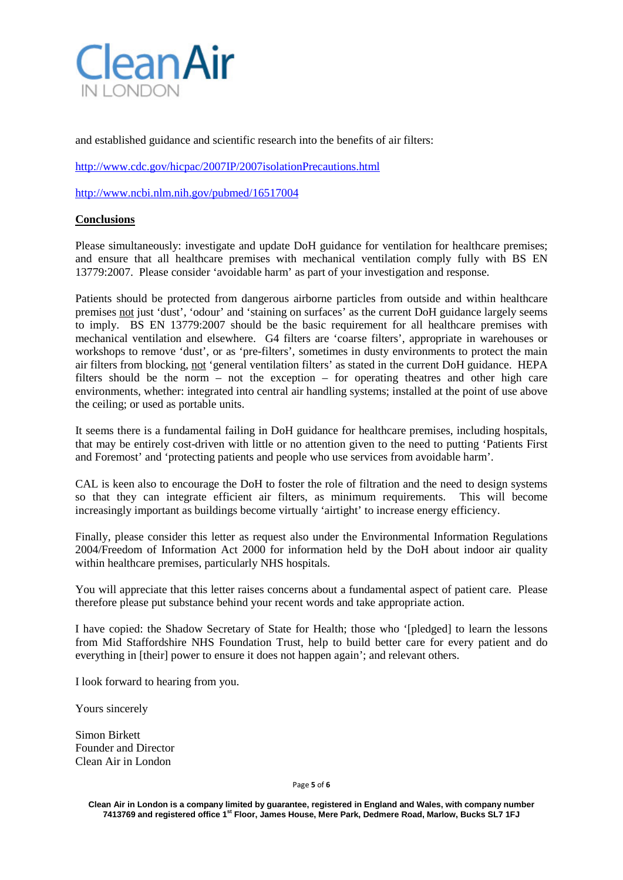

and established guidance and scientific research into the benefits of air filters:

<http://www.cdc.gov/hicpac/2007IP/2007isolationPrecautions.html>

<http://www.ncbi.nlm.nih.gov/pubmed/16517004>

#### **Conclusions**

Please simultaneously: investigate and update DoH guidance for ventilation for healthcare premises; and ensure that all healthcare premises with mechanical ventilation comply fully with BS EN 13779:2007. Please consider 'avoidable harm' as part of your investigation and response.

Patients should be protected from dangerous airborne particles from outside and within healthcare premises not just 'dust', 'odour' and 'staining on surfaces' as the current DoH guidance largely seems to imply. BS EN 13779:2007 should be the basic requirement for all healthcare premises with mechanical ventilation and elsewhere. G4 filters are 'coarse filters', appropriate in warehouses or workshops to remove 'dust', or as 'pre-filters', sometimes in dusty environments to protect the main air filters from blocking, not 'general ventilation filters' as stated in the current DoH guidance. HEPA filters should be the norm – not the exception – for operating theatres and other high care environments, whether: integrated into central air handling systems; installed at the point of use above the ceiling; or used as portable units.

It seems there is a fundamental failing in DoH guidance for healthcare premises, including hospitals, that may be entirely cost-driven with little or no attention given to the need to putting 'Patients First and Foremost' and 'protecting patients and people who use services from avoidable harm'.

CAL is keen also to encourage the DoH to foster the role of filtration and the need to design systems so that they can integrate efficient air filters, as minimum requirements. This will become increasingly important as buildings become virtually 'airtight' to increase energy efficiency.

Finally, please consider this letter as request also under the Environmental Information Regulations 2004/Freedom of Information Act 2000 for information held by the DoH about indoor air quality within healthcare premises, particularly NHS hospitals.

You will appreciate that this letter raises concerns about a fundamental aspect of patient care. Please therefore please put substance behind your recent words and take appropriate action.

I have copied: the Shadow Secretary of State for Health; those who '[pledged] to learn the lessons from Mid Staffordshire NHS Foundation Trust, help to build better care for every patient and do everything in [their] power to ensure it does not happen again'; and relevant others.

I look forward to hearing from you.

Yours sincerely

Simon Birkett Founder and Director Clean Air in London

Page **5** of **6**

**Clean Air in London is a company limited by guarantee, registered in England and Wales, with company number 7413769 and registered office 1st Floor, James House, Mere Park, Dedmere Road, Marlow, Bucks SL7 1FJ**